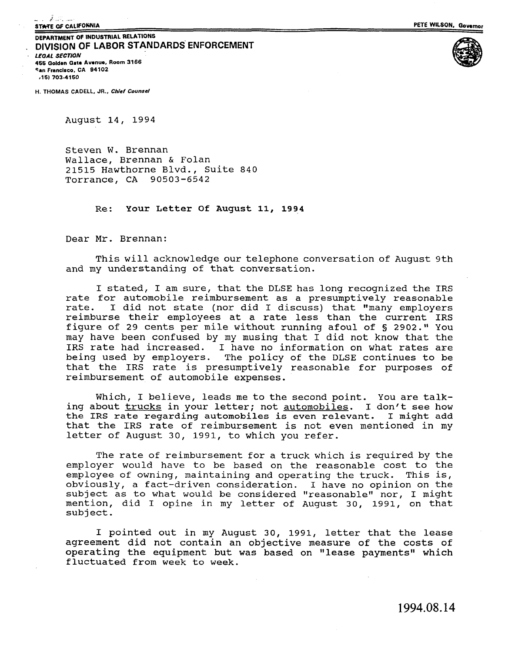المسترد والأوراث

**DEPARTMENT OF INDUSTRIAL RELATIONS DIVISION OF LABOR STANDARDS ENFORCEMENT** *LEGAL SECTION* **455 Golden Gate Avenue, Room 3166 San Francisco, CA 94102 (415) 703-4150**



**H. THOMAS CADELL, JR.,** *Chief Counsel*

August 14, 1994

Steven W. Brennan Wallace, Brennan & Folan 21515 Hawthorne Blvd., Suite 840 Torrance, CA 90503-6542

**Re: Your Letter Of August 11, 1994**

Dear Mr. Brennan:

This will acknowledge our telephone conversation of August 9th and my understanding of that conversation.

I stated, I am sure, that the DLSE has long recognized the IRS rate for automobile reimbursement as a presumptively reasonable rate. I did not state (nor did I discuss) that "many employers reimburse their employees at a rate less than the current IRS figure of 29 cents per mile without running afoul of § 2902." You may have been confused by my musing that I did not know that the IRS rate had increased. I have no information on what rates are being used by employers. The policy of the DLSE continues to be that the IRS rate is presumptively reasonable for purposes of reimbursement of automobile expenses.

Which, I believe, leads me to the second point. You are talking about trucks in your letter; not automobiles. I don't see how the IRS rate regarding automobiles is even relevant. I might add that the IRS rate of reimbursement is not even mentioned in my letter of August 30, 1991, to which you refer.

The rate of reimbursement for a truck which is required by the employer would have to be based on the reasonable cost to the employee of owning, maintaining and operating the truck. This is, obviously, a fact-driven consideration. I have no opinion on the subject as to what would be considered "reasonable" nor, I might mention, did I opine in my letter of August 30, 1991, on that subject.

I pointed out in my August 30, 1991, letter that the lease agreement did not contain an objective measure of the costs of operating the equipment but was based on "lease payments" which fluctuated from week to week.